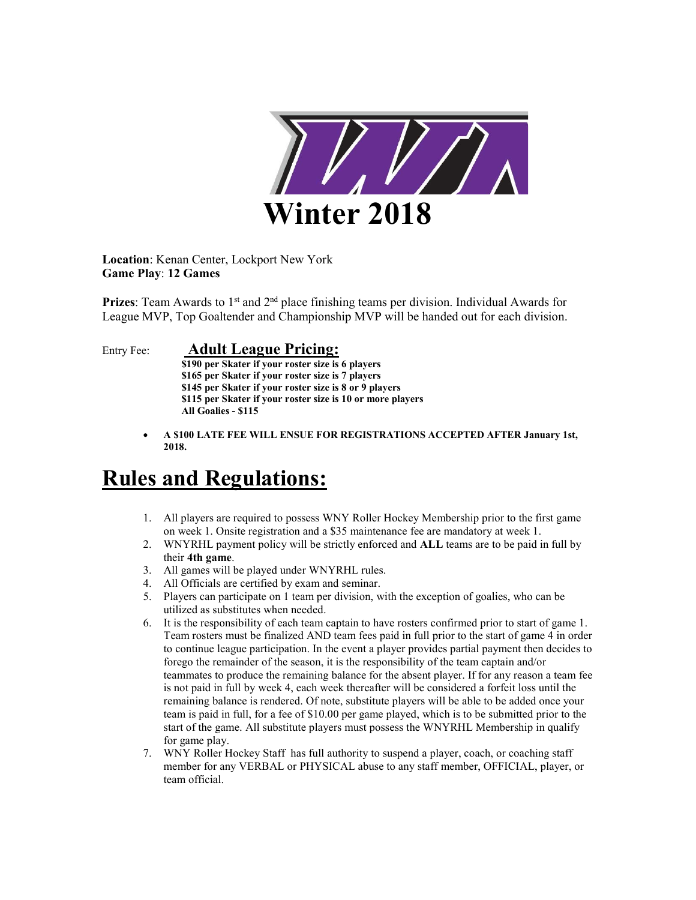

Location: Kenan Center, Lockport New York Game Play: 12 Games

**Prizes:** Team Awards to  $1<sup>st</sup>$  and  $2<sup>nd</sup>$  place finishing teams per division. Individual Awards for League MVP, Top Goaltender and Championship MVP will be handed out for each division.

## Entry Fee: Adult League Pricing:

 \$190 per Skater if your roster size is 6 players \$165 per Skater if your roster size is 7 players \$145 per Skater if your roster size is 8 or 9 players \$115 per Skater if your roster size is 10 or more players All Goalies - \$115

 A \$100 LATE FEE WILL ENSUE FOR REGISTRATIONS ACCEPTED AFTER January 1st, 2018.

## Rules and Regulations:

- 1. All players are required to possess WNY Roller Hockey Membership prior to the first game on week 1. Onsite registration and a \$35 maintenance fee are mandatory at week 1.
- 2. WNYRHL payment policy will be strictly enforced and ALL teams are to be paid in full by their 4th game.
- 3. All games will be played under WNYRHL rules.
- 4. All Officials are certified by exam and seminar.
- 5. Players can participate on 1 team per division, with the exception of goalies, who can be utilized as substitutes when needed.
- 6. It is the responsibility of each team captain to have rosters confirmed prior to start of game 1. Team rosters must be finalized AND team fees paid in full prior to the start of game 4 in order to continue league participation. In the event a player provides partial payment then decides to forego the remainder of the season, it is the responsibility of the team captain and/or teammates to produce the remaining balance for the absent player. If for any reason a team fee is not paid in full by week 4, each week thereafter will be considered a forfeit loss until the remaining balance is rendered. Of note, substitute players will be able to be added once your team is paid in full, for a fee of \$10.00 per game played, which is to be submitted prior to the start of the game. All substitute players must possess the WNYRHL Membership in qualify for game play.
- 7. WNY Roller Hockey Staff has full authority to suspend a player, coach, or coaching staff member for any VERBAL or PHYSICAL abuse to any staff member, OFFICIAL, player, or team official.